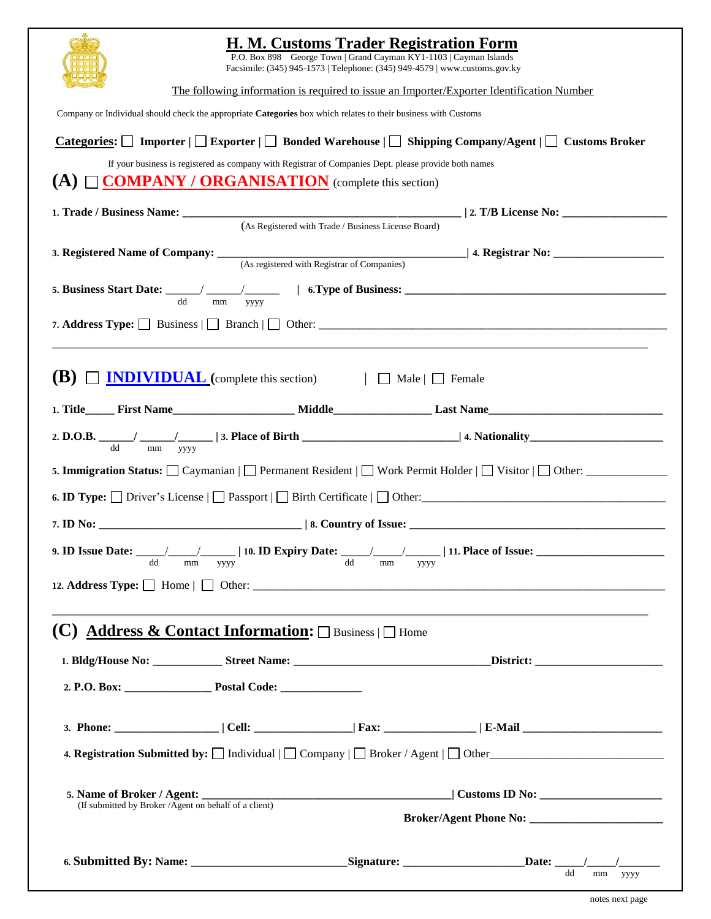|                                                                                                                                                                                                                                                  | H. M. Customs Trader Registration Form<br>P.O. Box 898 George Town   Grand Cayman KY1-1103   Cayman Islands                     |
|--------------------------------------------------------------------------------------------------------------------------------------------------------------------------------------------------------------------------------------------------|---------------------------------------------------------------------------------------------------------------------------------|
|                                                                                                                                                                                                                                                  | Facsimile: (345) 945-1573   Telephone: (345) 949-4579   www.customs.gov.ky                                                      |
| The following information is required to issue an Importer/Exporter Identification Number                                                                                                                                                        |                                                                                                                                 |
| Company or Individual should check the appropriate Categories box which relates to their business with Customs<br><b>Categories:</b> $\Box$ Importer $\Box$ Exporter $\Box$ Bonded Warehouse $\Box$ Shipping Company/Agent $\Box$ Customs Broker |                                                                                                                                 |
|                                                                                                                                                                                                                                                  |                                                                                                                                 |
|                                                                                                                                                                                                                                                  | (As Registered with Trade / Business License Board)                                                                             |
|                                                                                                                                                                                                                                                  | 3. Registered Name of Company: <u>(As registered with Registrar of Companies</u> ) 4. Registrar No:                             |
| mm<br>yyyy                                                                                                                                                                                                                                       | 5. Business Start Date: $\frac{d}{d} \frac{d}{d} \frac{d}{d}$ $\frac{d}{d} \frac{d}{d}$ 1 6. Type of Business:                  |
|                                                                                                                                                                                                                                                  | 7. Address Type: $\Box$ Business $\Box$ Branch $\Box$ Other:                                                                    |
| <b>NDIVIDUAL</b> (complete this section)   Male   Female<br>(B)                                                                                                                                                                                  |                                                                                                                                 |
|                                                                                                                                                                                                                                                  |                                                                                                                                 |
| dd<br>$\rm mm$<br>уууу                                                                                                                                                                                                                           |                                                                                                                                 |
|                                                                                                                                                                                                                                                  | 5. Immigration Status: $\Box$ Caymanian $\Box$ Permanent Resident $\Box$ Work Permit Holder $\Box$ Visitor $\Box$ Other: $\Box$ |
|                                                                                                                                                                                                                                                  |                                                                                                                                 |
|                                                                                                                                                                                                                                                  |                                                                                                                                 |
| dd<br>mm<br>уууу                                                                                                                                                                                                                                 | dd<br>mm<br>уууу                                                                                                                |
|                                                                                                                                                                                                                                                  |                                                                                                                                 |
| (C) Address & Contact Information: $\square$ Business $\square$ Home                                                                                                                                                                             |                                                                                                                                 |
|                                                                                                                                                                                                                                                  |                                                                                                                                 |
|                                                                                                                                                                                                                                                  |                                                                                                                                 |
|                                                                                                                                                                                                                                                  |                                                                                                                                 |
|                                                                                                                                                                                                                                                  | 4. Registration Submitted by: $\Box$ Individual $\Box$ Company $\Box$ Broker / Agent $\Box$ Other                               |
| (If submitted by Broker / Agent on behalf of a client)                                                                                                                                                                                           |                                                                                                                                 |
|                                                                                                                                                                                                                                                  |                                                                                                                                 |
|                                                                                                                                                                                                                                                  | dd<br>mm<br>уууу                                                                                                                |